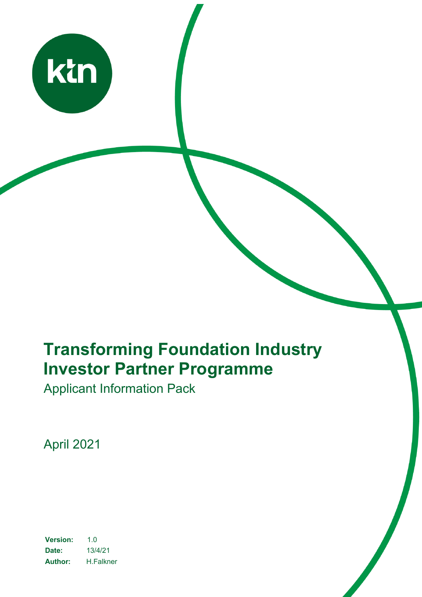

# **Transforming Foundation Industry Investor Partner Programme**

Applicant Information Pack

April 2021

**Version:** 1.0 **Date:** 13/4/21 **Author:** H.Falkner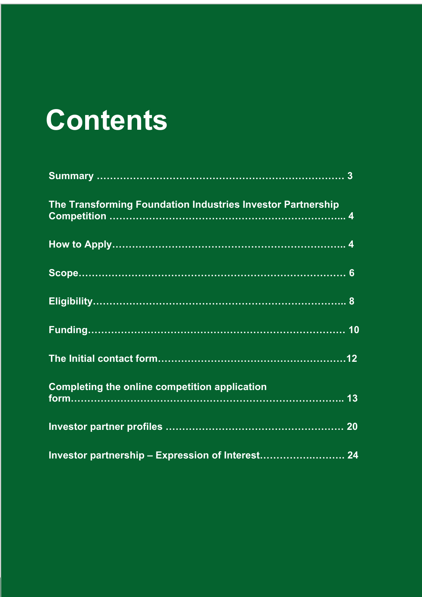# **Contents**

| The Transforming Foundation Industries Investor Partnership |
|-------------------------------------------------------------|
|                                                             |
|                                                             |
|                                                             |
|                                                             |
|                                                             |
| <b>Completing the online competition application</b>        |
|                                                             |
| Investor partnership - Expression of Interest 24            |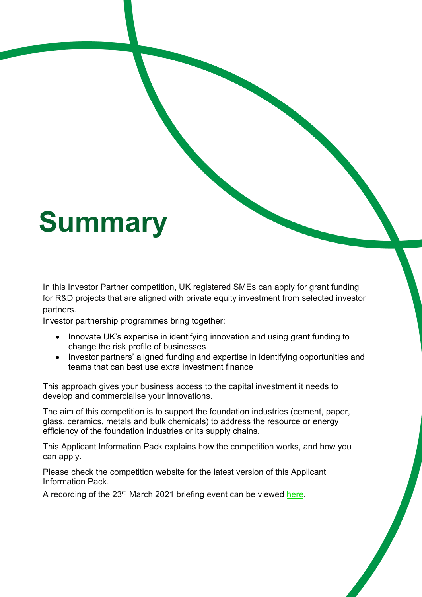# **Summary**

In this Investor Partner competition, UK registered SMEs can apply for grant funding for R&D projects that are aligned with private equity investment from selected investor partners.

Investor partnership programmes bring together:

- Innovate UK's expertise in identifying innovation and using grant funding to change the risk profile of businesses
- Investor partners' aligned funding and expertise in identifying opportunities and teams that can best use extra investment finance

This approach gives your business access to the capital investment it needs to develop and commercialise your innovations.

The aim of this competition is to support the foundation industries (cement, paper, glass, ceramics, metals and bulk chemicals) to address the resource or energy efficiency of the foundation industries or its supply chains.

This Applicant Information Pack explains how the competition works, and how you can apply.

Please check the competition website for the latest version of this Applicant Information Pack.

A recording of the 23rd March 2021 briefing event can be viewed here.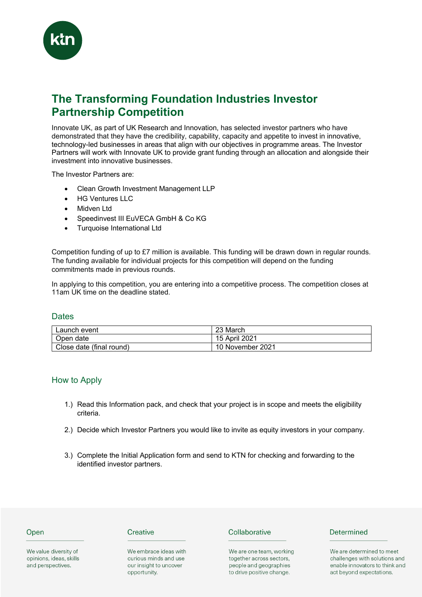

# **The Transforming Foundation Industries Investor Partnership Competition**

Innovate UK, as part of UK Research and Innovation, has selected investor partners who have demonstrated that they have the credibility, capability, capacity and appetite to invest in innovative, technology-led businesses in areas that align with our objectives in programme areas. The Investor Partners will work with Innovate UK to provide grant funding through an allocation and alongside their investment into innovative businesses.

The Investor Partners are:

- Clean Growth Investment Management LLP
- HG Ventures LLC
- Midven Ltd
- Speedinvest III EuVECA GmbH & Co KG
- Turquoise International Ltd

Competition funding of up to £7 million is available. This funding will be drawn down in regular rounds. The funding available for individual projects for this competition will depend on the funding commitments made in previous rounds.

In applying to this competition, you are entering into a competitive process. The competition closes at 11am UK time on the deadline stated.

#### **Dates**

| Launch event             | 23 March         |
|--------------------------|------------------|
| Open date                | 15 April 2021    |
| Close date (final round) | 10 November 2021 |

#### How to Apply

- 1.) Read this Information pack, and check that your project is in scope and meets the eligibility criteria.
- 2.) Decide which Investor Partners you would like to invite as equity investors in your company.
- 3.) Complete the Initial Application form and send to KTN for checking and forwarding to the identified investor partners.

#### Open

We value diversity of opinions, ideas, skills and perspectives.

#### Creative

We embrace ideas with curious minds and use our insight to uncover opportunity.

#### Collaborative

We are one team, working together across sectors, people and geographies to drive positive change.

#### Determined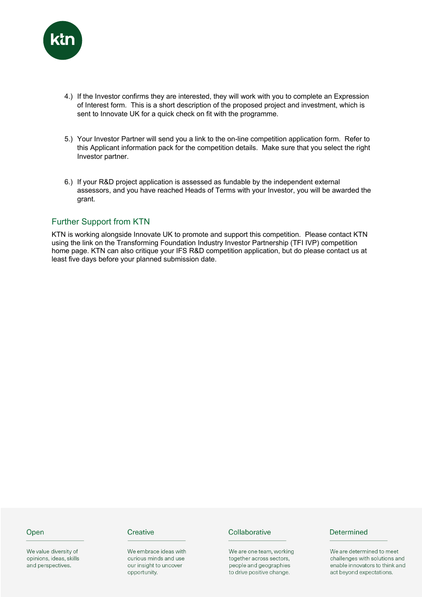

- 4.) If the Investor confirms they are interested, they will work with you to complete an Expression of Interest form. This is a short description of the proposed project and investment, which is sent to Innovate UK for a quick check on fit with the programme.
- 5.) Your Investor Partner will send you a link to the on-line competition application form. Refer to this Applicant information pack for the competition details. Make sure that you select the right Investor partner.
- 6.) If your R&D project application is assessed as fundable by the independent external assessors, and you have reached Heads of Terms with your Investor, you will be awarded the grant.

# Further Support from KTN

KTN is working alongside Innovate UK to promote and support this competition. Please contact KTN using the link on the Transforming Foundation Industry Investor Partnership (TFI IVP) competition home page. KTN can also critique your IFS R&D competition application, but do please contact us at least five days before your planned submission date.

#### Open

We value diversity of opinions, ideas, skills and perspectives.

#### Creative

We embrace ideas with curious minds and use our insight to uncover opportunity.

#### Collaborative

We are one team, working together across sectors, people and geographies to drive positive change.

#### Determined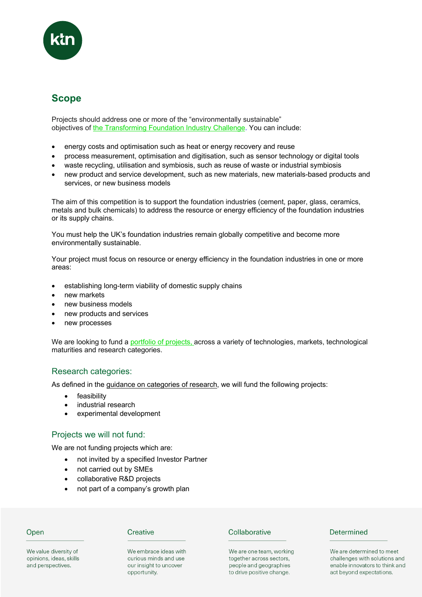

# **Scope**

Projects should address one or more of the "environmentally sustainable" objectives of the Transforming Foundation Industry Challenge. You can include:

- energy costs and optimisation such as heat or energy recovery and reuse
- process measurement, optimisation and digitisation, such as sensor technology or digital tools
- waste recycling, utilisation and symbiosis, such as reuse of waste or industrial symbiosis
- new product and service development, such as new materials, new materials-based products and services, or new business models

The aim of this competition is to support the foundation industries (cement, paper, glass, ceramics, metals and bulk chemicals) to address the resource or energy efficiency of the foundation industries or its supply chains.

You must help the UK's foundation industries remain globally competitive and become more environmentally sustainable.

Your project must focus on resource or energy efficiency in the foundation industries in one or more areas:

- establishing long-term viability of domestic supply chains
- new markets
- new business models
- new products and services
- new processes

We are looking to fund a portfolio of projects, across a variety of technologies, markets, technological maturities and research categories.

# Research categories:

As defined in the guidance on categories of research, we will fund the following projects:

- feasibility
- industrial research
- experimental development

# Projects we will not fund:

We are not funding projects which are:

- not invited by a specified Investor Partner
- not carried out by SMEs
- collaborative R&D projects
- not part of a company's growth plan

# Open

#### Creative

We embrace ideas with curious minds and use our insight to uncover opportunity.

#### Collaborative

We are one team, working together across sectors, people and geographies to drive positive change.

#### Determined

We are determined to meet challenges with solutions and enable innovators to think and act beyond expectations.

We value diversity of opinions, ideas, skills and perspectives.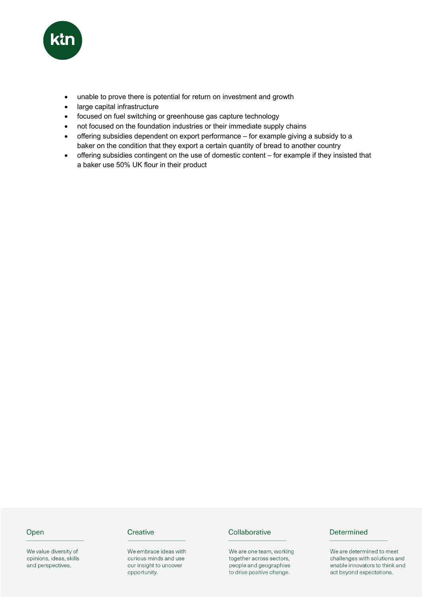

- unable to prove there is potential for return on investment and growth
- large capital infrastructure
- focused on fuel switching or greenhouse gas capture technology
- not focused on the foundation industries or their immediate supply chains
- offering subsidies dependent on export performance for example giving a subsidy to a baker on the condition that they export a certain quantity of bread to another country
- offering subsidies contingent on the use of domestic content for example if they insisted that a baker use 50% UK flour in their product

# Open

We value diversity of opinions, ideas, skills and perspectives.

# Creative

We embrace ideas with curious minds and use our insight to uncover opportunity.

#### Collaborative

We are one team, working together across sectors, people and geographies to drive positive change.

# Determined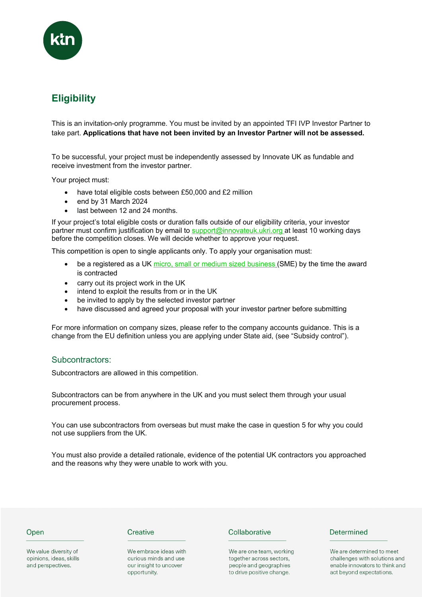

# **Eligibility**

This is an invitation-only programme. You must be invited by an appointed TFI IVP Investor Partner to take part. **Applications that have not been invited by an Investor Partner will not be assessed.**

To be successful, your project must be independently assessed by Innovate UK as fundable and receive investment from the investor partner.

Your project must:

- have total eligible costs between £50,000 and £2 million
- end by 31 March 2024
- last between 12 and 24 months.

If your project's total eligible costs or duration falls outside of our eligibility criteria, your investor partner must confirm justification by email to support@innovateuk.ukri.org at least 10 working days before the competition closes. We will decide whether to approve your request.

This competition is open to single applicants only. To apply your organisation must:

- be a registered as a UK micro, small or medium sized business (SME) by the time the award is contracted
- carry out its project work in the UK
- intend to exploit the results from or in the UK
- be invited to apply by the selected investor partner
- have discussed and agreed your proposal with your investor partner before submitting

For more information on company sizes, please refer to the company accounts guidance. This is a change from the EU definition unless you are applying under State aid, (see "Subsidy control").

#### Subcontractors:

Subcontractors are allowed in this competition.

Subcontractors can be from anywhere in the UK and you must select them through your usual procurement process.

You can use subcontractors from overseas but must make the case in question 5 for why you could not use suppliers from the UK.

You must also provide a detailed rationale, evidence of the potential UK contractors you approached and the reasons why they were unable to work with you.

#### Open

We value diversity of opinions, ideas, skills and perspectives.

#### Creative

We embrace ideas with curious minds and use our insight to uncover opportunity.

#### Collaborative

We are one team, working together across sectors, people and geographies to drive positive change.

#### Determined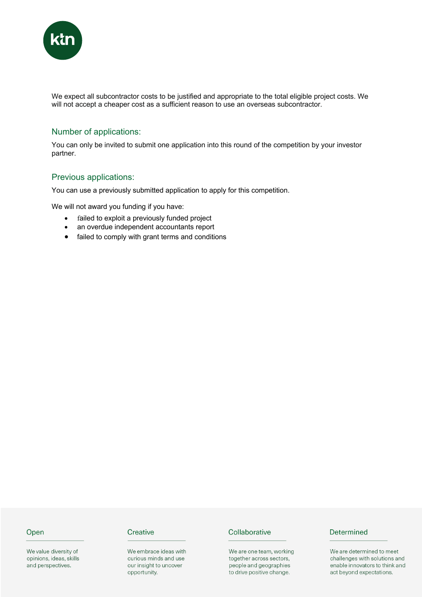

We expect all subcontractor costs to be justified and appropriate to the total eligible project costs. We will not accept a cheaper cost as a sufficient reason to use an overseas subcontractor.

# Number of applications:

You can only be invited to submit one application into this round of the competition by your investor partner.

# Previous applications:

You can use a previously submitted application to apply for this competition.

We will not award you funding if you have:

- failed to exploit a previously funded project
- an overdue independent accountants report
- failed to comply with grant terms and conditions

# Open

We value diversity of opinions, ideas, skills and perspectives.

#### Creative

We embrace ideas with curious minds and use our insight to uncover opportunity.

#### Collaborative

We are one team, working together across sectors, people and geographies to drive positive change.

# Determined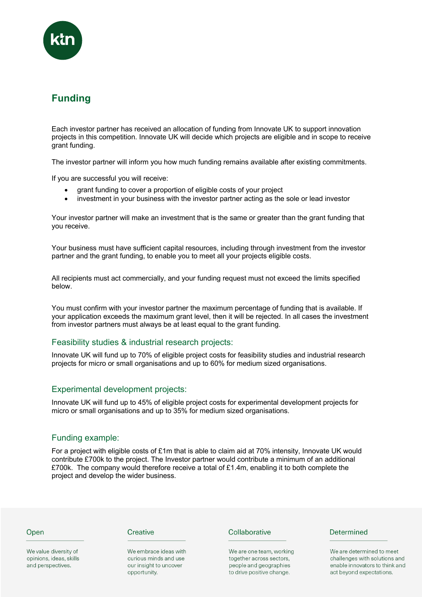

# **Funding**

Each investor partner has received an allocation of funding from Innovate UK to support innovation projects in this competition. Innovate UK will decide which projects are eligible and in scope to receive grant funding.

The investor partner will inform you how much funding remains available after existing commitments.

If you are successful you will receive:

- grant funding to cover a proportion of eligible costs of your project
- investment in your business with the investor partner acting as the sole or lead investor

Your investor partner will make an investment that is the same or greater than the grant funding that you receive.

Your business must have sufficient capital resources, including through investment from the investor partner and the grant funding, to enable you to meet all your projects eligible costs.

All recipients must act commercially, and your funding request must not exceed the limits specified below.

You must confirm with your investor partner the maximum percentage of funding that is available. If your application exceeds the maximum grant level, then it will be rejected. In all cases the investment from investor partners must always be at least equal to the grant funding.

# Feasibility studies & industrial research projects:

Innovate UK will fund up to 70% of eligible project costs for feasibility studies and industrial research projects for micro or small organisations and up to 60% for medium sized organisations.

#### Experimental development projects:

Innovate UK will fund up to 45% of eligible project costs for experimental development projects for micro or small organisations and up to 35% for medium sized organisations.

# Funding example:

For a project with eligible costs of £1m that is able to claim aid at 70% intensity, Innovate UK would contribute £700k to the project. The Investor partner would contribute a minimum of an additional £700k. The company would therefore receive a total of £1.4m, enabling it to both complete the project and develop the wider business.

#### Open

We value diversity of opinions, ideas, skills and perspectives.

#### Creative

We embrace ideas with curious minds and use our insight to uncover opportunity.

#### Collaborative

We are one team, working together across sectors, people and geographies to drive positive change.

#### Determined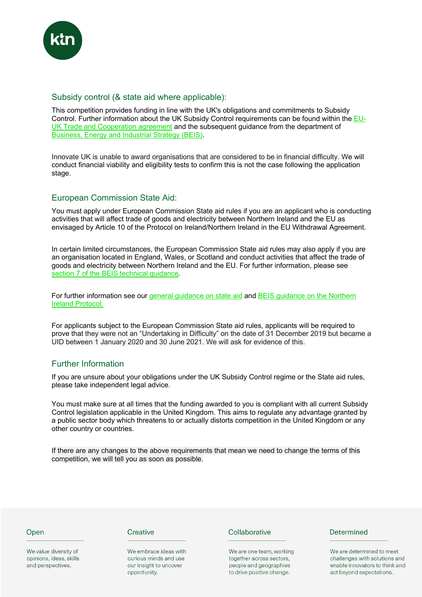

# Subsidy control (& state aid where applicable):

This competition provides funding in line with the UK's obligations and commitments to Subsidy Control. Further information about the UK Subsidy Control requirements can be found within the EU-UK Trade and Cooperation agreement and the subsequent guidance from the department of Business, Energy and Industrial Strategy (BEIS).

Innovate UK is unable to award organisations that are considered to be in financial difficulty. We will conduct financial viability and eligibility tests to confirm this is not the case following the application stage.

# European Commission State Aid:

You must apply under European Commission State aid rules if you are an applicant who is conducting activities that will affect trade of goods and electricity between Northern Ireland and the EU as envisaged by Article 10 of the Protocol on Ireland/Northern Ireland in the EU Withdrawal Agreement.

In certain limited circumstances, the European Commission State aid rules may also apply if you are an organisation located in England, Wales, or Scotland and conduct activities that affect the trade of goods and electricity between Northern Ireland and the EU. For further information, please see section 7 of the BEIS technical guidance.

For further information see our general guidance on state aid and BEIS guidance on the Northern Ireland Protocol.

For applicants subject to the European Commission State aid rules, applicants will be required to prove that they were not an "Undertaking in Difficulty" on the date of 31 December 2019 but became a UID between 1 January 2020 and 30 June 2021. We will ask for evidence of this.

# Further Information

If you are unsure about your obligations under the UK Subsidy Control regime or the State aid rules, please take independent legal advice.

You must make sure at all times that the funding awarded to you is compliant with all current Subsidy Control legislation applicable in the United Kingdom. This aims to regulate any advantage granted by a public sector body which threatens to or actually distorts competition in the United Kingdom or any other country or countries.

If there are any changes to the above requirements that mean we need to change the terms of this competition, we will tell you as soon as possible.

#### Open

We value diversity of opinions, ideas, skills and perspectives.

#### Creative

We embrace ideas with curious minds and use our insight to uncover opportunity.

#### Collaborative

We are one team, working together across sectors, people and geographies to drive positive change.

#### Determined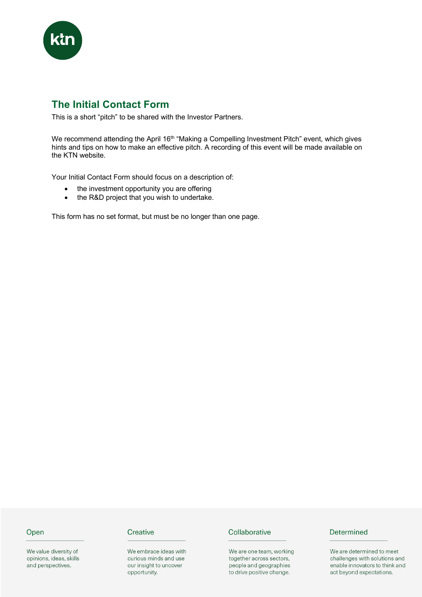

# **The Initial Contact Form**

This is a short "pitch" to be shared with the Investor Partners.

We recommend attending the April 16<sup>th</sup> "Making a Compelling Investment Pitch" event, which gives hints and tips on how to make an effective pitch. A recording of this event will be made available on the KTN website.

Your Initial Contact Form should focus on a description of:

- the investment opportunity you are offering
- the R&D project that you wish to undertake.

This form has no set format, but must be no longer than one page.

#### Open

We value diversity of opinions, ideas, skills and perspectives.

# Creative

We embrace ideas with curious minds and use our insight to uncover opportunity.

#### Collaborative

We are one team, working together across sectors, people and geographies to drive positive change.

# Determined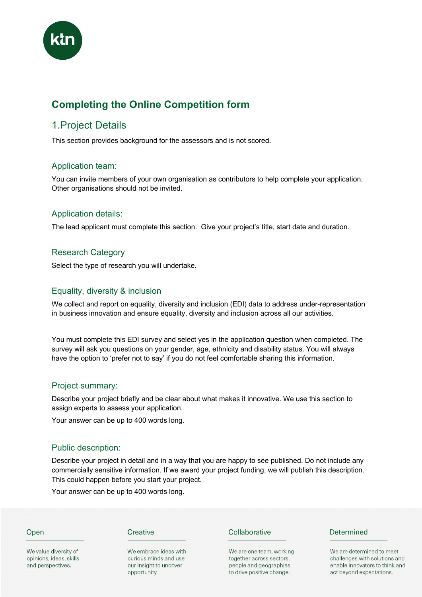

# **Completing the Online Competition form**

# 1.Project Details

This section provides background for the assessors and is not scored.

# Application team:

You can invite members of your own organisation as contributors to help complete your application. Other organisations should not be invited.

# Application details:

The lead applicant must complete this section. Give your project's title, start date and duration.

# Research Category

Select the type of research you will undertake.

# Equality, diversity & inclusion

We collect and report on equality, diversity and inclusion (EDI) data to address under-representation in business innovation and ensure equality, diversity and inclusion across all our activities.

You must complete this EDI survey and select yes in the application question when completed. The survey will ask you questions on your gender, age, ethnicity and disability status. You will always have the option to 'prefer not to say' if you do not feel comfortable sharing this information.

# Project summary:

Describe your project briefly and be clear about what makes it innovative. We use this section to assign experts to assess your application.

Your answer can be up to 400 words long.

# Public description:

Describe your project in detail and in a way that you are happy to see published. Do not include any commercially sensitive information. If we award your project funding, we will publish this description. This could happen before you start your project.

Your answer can be up to 400 words long.

# Open

We value diversity of opinions, ideas, skills and perspectives.

#### Creative

We embrace ideas with curious minds and use our insight to uncover opportunity.

#### Collaborative

We are one team, working together across sectors, people and geographies to drive positive change.

#### Determined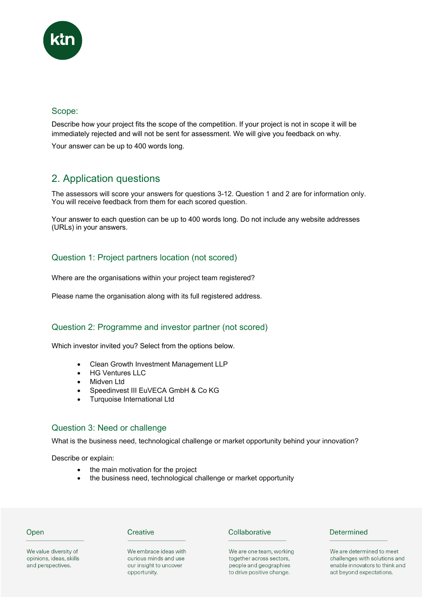

# Scope:

Describe how your project fits the scope of the competition. If your project is not in scope it will be immediately rejected and will not be sent for assessment. We will give you feedback on why.

Your answer can be up to 400 words long.

# 2. Application questions

The assessors will score your answers for questions 3-12. Question 1 and 2 are for information only. You will receive feedback from them for each scored question.

Your answer to each question can be up to 400 words long. Do not include any website addresses (URLs) in your answers.

# Question 1: Project partners location (not scored)

Where are the organisations within your project team registered?

Please name the organisation along with its full registered address.

# Question 2: Programme and investor partner (not scored)

Which investor invited you? Select from the options below.

- Clean Growth Investment Management LLP
- **HG Ventures LLC**
- Midven Ltd
- Speedinvest III EuVECA GmbH & Co KG
- Turquoise International Ltd

# Question 3: Need or challenge

What is the business need, technological challenge or market opportunity behind your innovation?

Describe or explain:

- the main motivation for the project
- the business need, technological challenge or market opportunity

#### Open

We value diversity of

opinions, ideas, skills

and perspectives.

#### Creative

We embrace ideas with curious minds and use our insight to uncover opportunity.

# Collaborative

We are one team, working together across sectors, people and geographies to drive positive change.

# Determined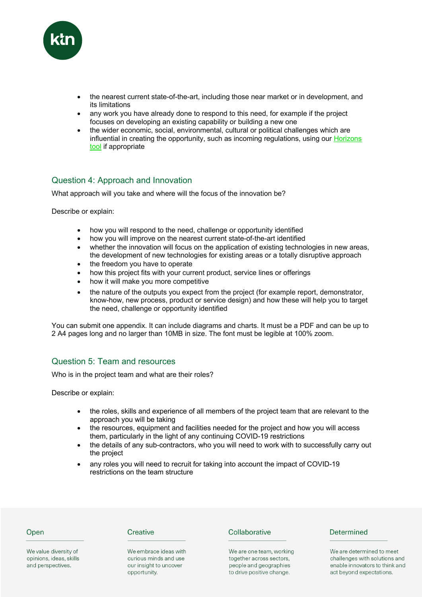

- the nearest current state-of-the-art, including those near market or in development, and its limitations
- any work you have already done to respond to this need, for example if the project focuses on developing an existing capability or building a new one
- the wider economic, social, environmental, cultural or political challenges which are influential in creating the opportunity, such as incoming regulations, using our **Horizons** tool if appropriate

# Question 4: Approach and Innovation

What approach will you take and where will the focus of the innovation be?

Describe or explain:

- how you will respond to the need, challenge or opportunity identified
- how you will improve on the nearest current state-of-the-art identified
- whether the innovation will focus on the application of existing technologies in new areas, the development of new technologies for existing areas or a totally disruptive approach
- the freedom you have to operate
- how this project fits with your current product, service lines or offerings
- how it will make you more competitive
- the nature of the outputs you expect from the project (for example report, demonstrator, know-how, new process, product or service design) and how these will help you to target the need, challenge or opportunity identified

You can submit one appendix. It can include diagrams and charts. It must be a PDF and can be up to 2 A4 pages long and no larger than 10MB in size. The font must be legible at 100% zoom.

# Question 5: Team and resources

Who is in the project team and what are their roles?

Describe or explain:

- the roles, skills and experience of all members of the project team that are relevant to the approach you will be taking
- the resources, equipment and facilities needed for the project and how you will access them, particularly in the light of any continuing COVID-19 restrictions
- the details of any sub-contractors, who you will need to work with to successfully carry out the project
- any roles you will need to recruit for taking into account the impact of COVID-19 restrictions on the team structure

#### Open

We value diversity of

opinions, ideas, skills

and perspectives.

Creative

We embrace ideas with curious minds and use our insight to uncover opportunity.

#### Collaborative

We are one team, working together across sectors, people and geographies to drive positive change.

#### Determined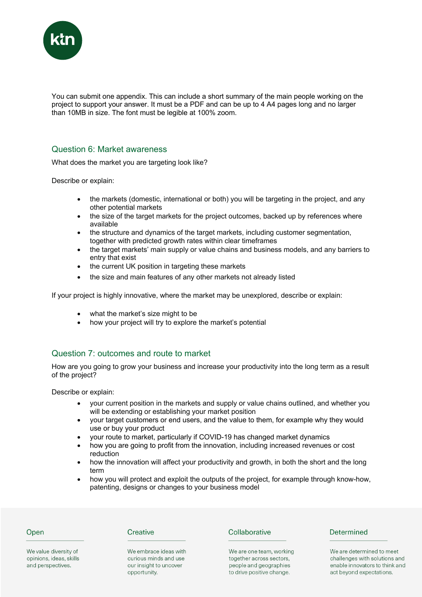

You can submit one appendix. This can include a short summary of the main people working on the project to support your answer. It must be a PDF and can be up to 4 A4 pages long and no larger than 10MB in size. The font must be legible at 100% zoom.

#### Question 6: Market awareness

What does the market you are targeting look like?

Describe or explain:

- the markets (domestic, international or both) you will be targeting in the project, and any other potential markets
- the size of the target markets for the project outcomes, backed up by references where available
- the structure and dynamics of the target markets, including customer segmentation, together with predicted growth rates within clear timeframes
- the target markets' main supply or value chains and business models, and any barriers to entry that exist
- the current UK position in targeting these markets
- the size and main features of any other markets not already listed

If your project is highly innovative, where the market may be unexplored, describe or explain:

- what the market's size might to be
- how your project will try to explore the market's potential

# Question 7: outcomes and route to market

How are you going to grow your business and increase your productivity into the long term as a result of the project?

Describe or explain:

- your current position in the markets and supply or value chains outlined, and whether you will be extending or establishing your market position
- your target customers or end users, and the value to them, for example why they would use or buy your product
- your route to market, particularly if COVID-19 has changed market dynamics
- how you are going to profit from the innovation, including increased revenues or cost reduction
- how the innovation will affect your productivity and growth, in both the short and the long term
- how you will protect and exploit the outputs of the project, for example through know-how, patenting, designs or changes to your business model

# Open

Creative

We embrace ideas with curious minds and use our insight to uncover opportunity.

#### Collaborative

We are one team, working together across sectors, people and geographies to drive positive change.

#### Determined

We are determined to meet challenges with solutions and enable innovators to think and act beyond expectations.

We value diversity of opinions, ideas, skills and perspectives.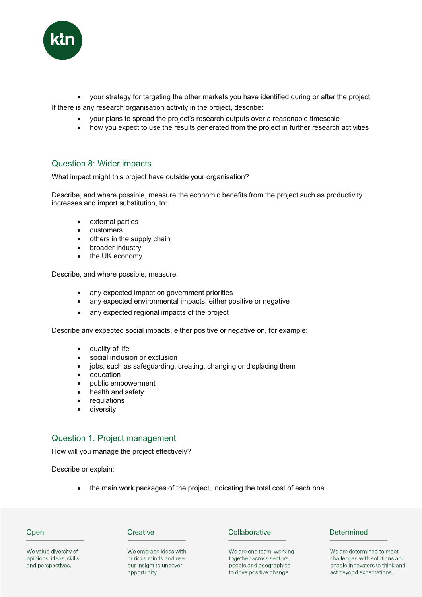

• your strategy for targeting the other markets you have identified during or after the project If there is any research organisation activity in the project, describe:

- your plans to spread the project's research outputs over a reasonable timescale
- how you expect to use the results generated from the project in further research activities

# Question 8: Wider impacts

What impact might this project have outside your organisation?

Describe, and where possible, measure the economic benefits from the project such as productivity increases and import substitution, to:

- external parties
- customers
- others in the supply chain
- broader industry
- the UK economy

Describe, and where possible, measure:

- any expected impact on government priorities
- any expected environmental impacts, either positive or negative
- any expected regional impacts of the project

Describe any expected social impacts, either positive or negative on, for example:

- quality of life
- social inclusion or exclusion
- jobs, such as safeguarding, creating, changing or displacing them
- education
- public empowerment
- health and safety
- **regulations**
- diversity

# Question 1: Project management

How will you manage the project effectively?

Describe or explain:

the main work packages of the project, indicating the total cost of each one

#### Open

We value diversity of opinions, ideas, skills and perspectives.

#### Creative

We embrace ideas with curious minds and use our insight to uncover opportunity.

#### Collaborative

We are one team, working together across sectors, people and geographies to drive positive change.

# Determined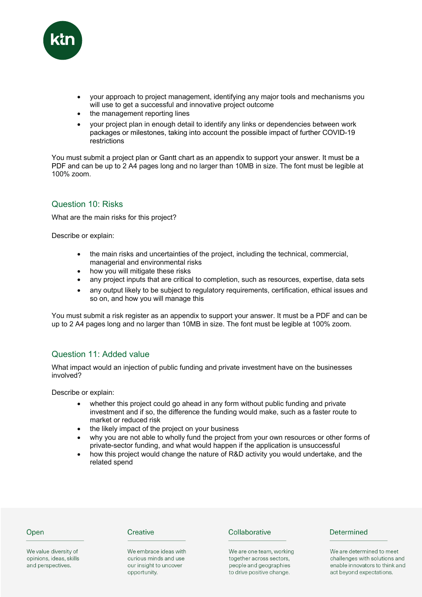

- your approach to project management, identifying any major tools and mechanisms you will use to get a successful and innovative project outcome
- the management reporting lines
- your project plan in enough detail to identify any links or dependencies between work packages or milestones, taking into account the possible impact of further COVID-19 restrictions

You must submit a project plan or Gantt chart as an appendix to support your answer. It must be a PDF and can be up to 2 A4 pages long and no larger than 10MB in size. The font must be legible at 100% zoom.

# Question 10: Risks

What are the main risks for this project?

Describe or explain:

- the main risks and uncertainties of the project, including the technical, commercial, managerial and environmental risks
- how you will mitigate these risks
- any project inputs that are critical to completion, such as resources, expertise, data sets
- any output likely to be subject to regulatory requirements, certification, ethical issues and so on, and how you will manage this

You must submit a risk register as an appendix to support your answer. It must be a PDF and can be up to 2 A4 pages long and no larger than 10MB in size. The font must be legible at 100% zoom.

# Question 11: Added value

What impact would an injection of public funding and private investment have on the businesses involved?

Describe or explain:

- whether this project could go ahead in any form without public funding and private investment and if so, the difference the funding would make, such as a faster route to market or reduced risk
- the likely impact of the project on your business
- why you are not able to wholly fund the project from your own resources or other forms of private-sector funding, and what would happen if the application is unsuccessful
- how this project would change the nature of R&D activity you would undertake, and the related spend

#### Open

We value diversity of opinions, ideas, skills and perspectives.

#### Creative

We embrace ideas with curious minds and use our insight to uncover opportunity.

#### Collaborative

We are one team, working together across sectors, people and geographies to drive positive change.

#### Determined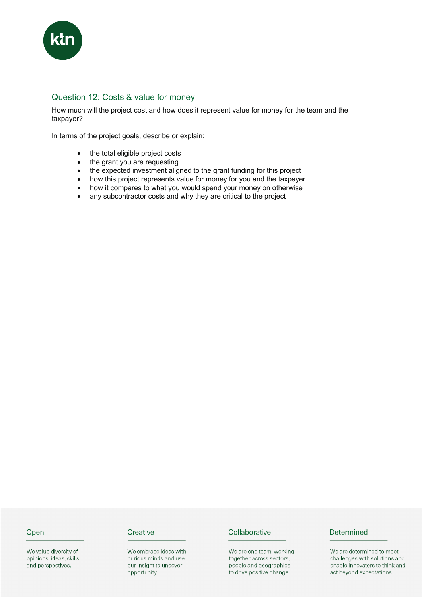

# Question 12: Costs & value for money

How much will the project cost and how does it represent value for money for the team and the taxpayer?

In terms of the project goals, describe or explain:

- the total eligible project costs
- the grant you are requesting
- the expected investment aligned to the grant funding for this project
- how this project represents value for money for you and the taxpayer
- how it compares to what you would spend your money on otherwise
- any subcontractor costs and why they are critical to the project

#### Open

We value diversity of opinions, ideas, skills and perspectives.

# Creative

We embrace ideas with curious minds and use our insight to uncover opportunity.

#### Collaborative

We are one team, working together across sectors, people and geographies to drive positive change.

# Determined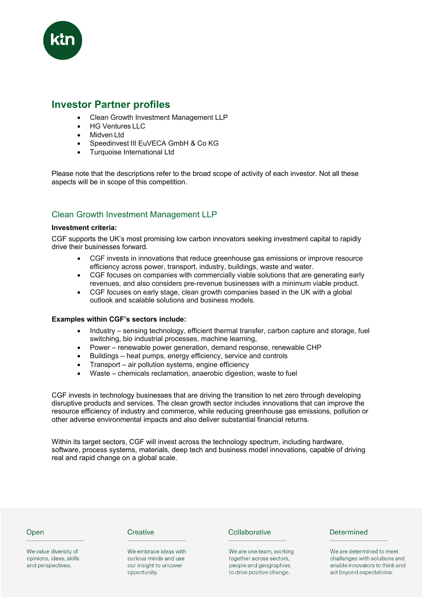

# **Investor Partner profiles**

- Clean Growth Investment Management LLP
- HG Ventures LLC
- Midven Ltd
- Speedinvest III EuVECA GmbH & Co KG
- Turquoise International Ltd

Please note that the descriptions refer to the broad scope of activity of each investor. Not all these aspects will be in scope of this competition.

# Clean Growth Investment Management LLP

#### **Investment criteria:**

CGF supports the UK's most promising low carbon innovators seeking investment capital to rapidly drive their businesses forward.

- CGF invests in innovations that reduce greenhouse gas emissions or improve resource efficiency across power, transport, industry, buildings, waste and water.
- CGF focuses on companies with commercially viable solutions that are generating early revenues, and also considers pre-revenue businesses with a minimum viable product.
- CGF focuses on early stage, clean growth companies based in the UK with a global outlook and scalable solutions and business models.

#### **Examples within CGF's sectors include:**

- Industry sensing technology, efficient thermal transfer, carbon capture and storage, fuel switching, bio industrial processes, machine learning,
- Power renewable power generation, demand response, renewable CHP
- Buildings heat pumps, energy efficiency, service and controls
- Transport air pollution systems, engine efficiency
- Waste chemicals reclamation, anaerobic digestion, waste to fuel

CGF invests in technology businesses that are driving the transition to net zero through developing disruptive products and services. The clean growth sector includes innovations that can improve the resource efficiency of industry and commerce, while reducing greenhouse gas emissions, pollution or other adverse environmental impacts and also deliver substantial financial returns.

Within its target sectors, CGF will invest across the technology spectrum, including hardware, software, process systems, materials, deep tech and business model innovations, capable of driving real and rapid change on a global scale.

#### Open

We value diversity of opinions, ideas, skills and perspectives.

#### Creative

We embrace ideas with curious minds and use our insight to uncover opportunity.

#### Collaborative

We are one team, working together across sectors, people and geographies to drive positive change.

#### Determined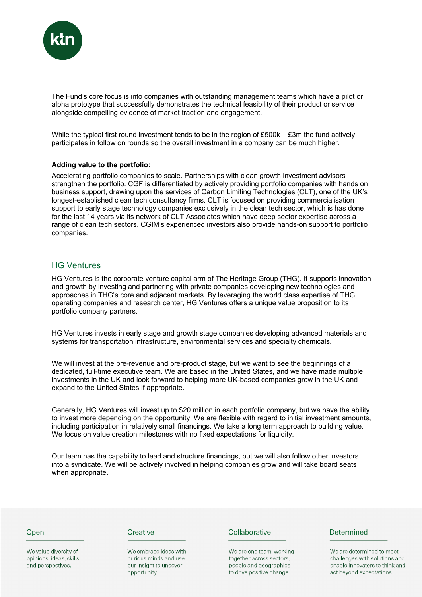

The Fund's core focus is into companies with outstanding management teams which have a pilot or alpha prototype that successfully demonstrates the technical feasibility of their product or service alongside compelling evidence of market traction and engagement.

While the typical first round investment tends to be in the region of £500k – £3m the fund actively participates in follow on rounds so the overall investment in a company can be much higher.

#### **Adding value to the portfolio:**

Accelerating portfolio companies to scale. Partnerships with clean growth investment advisors strengthen the portfolio. CGF is differentiated by actively providing portfolio companies with hands on business support, drawing upon the services of Carbon Limiting Technologies (CLT), one of the UK's longest-established clean tech consultancy firms. CLT is focused on providing commercialisation support to early stage technology companies exclusively in the clean tech sector, which is has done for the last 14 years via its network of CLT Associates which have deep sector expertise across a range of clean tech sectors. CGIM's experienced investors also provide hands-on support to portfolio companies.

#### HG Ventures

HG Ventures is the corporate venture capital arm of The Heritage Group (THG). It supports innovation and growth by investing and partnering with private companies developing new technologies and approaches in THG's core and adjacent markets. By leveraging the world class expertise of THG operating companies and research center, HG Ventures offers a unique value proposition to its portfolio company partners.

HG Ventures invests in early stage and growth stage companies developing advanced materials and systems for transportation infrastructure, environmental services and specialty chemicals.

We will invest at the pre-revenue and pre-product stage, but we want to see the beginnings of a dedicated, full-time executive team. We are based in the United States, and we have made multiple investments in the UK and look forward to helping more UK-based companies grow in the UK and expand to the United States if appropriate.

Generally, HG Ventures will invest up to \$20 million in each portfolio company, but we have the ability to invest more depending on the opportunity. We are flexible with regard to initial investment amounts, including participation in relatively small financings. We take a long term approach to building value. We focus on value creation milestones with no fixed expectations for liquidity.

Our team has the capability to lead and structure financings, but we will also follow other investors into a syndicate. We will be actively involved in helping companies grow and will take board seats when appropriate.

#### Open

We value diversity of opinions, ideas, skills and perspectives.

#### Creative

We embrace ideas with curious minds and use our insight to uncover opportunity.

#### Collaborative

We are one team, working together across sectors, people and geographies to drive positive change.

#### Determined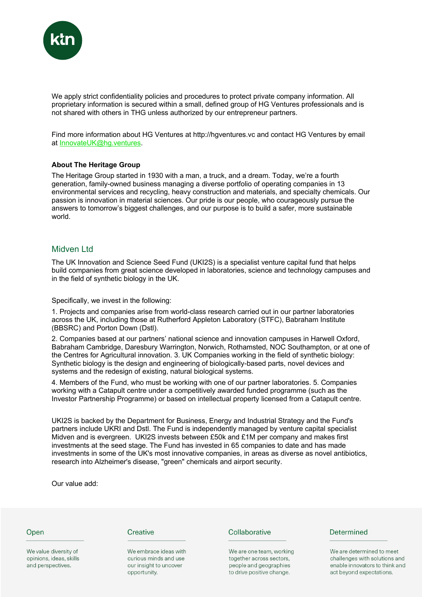

We apply strict confidentiality policies and procedures to protect private company information. All proprietary information is secured within a small, defined group of HG Ventures professionals and is not shared with others in THG unless authorized by our entrepreneur partners.

Find more information about HG Ventures at http://hgventures.vc and contact HG Ventures by email at InnovateUK@hg.ventures.

#### **About The Heritage Group**

The Heritage Group started in 1930 with a man, a truck, and a dream. Today, we're a fourth generation, family-owned business managing a diverse portfolio of operating companies in 13 environmental services and recycling, heavy construction and materials, and specialty chemicals. Our passion is innovation in material sciences. Our pride is our people, who courageously pursue the answers to tomorrow's biggest challenges, and our purpose is to build a safer, more sustainable world.

#### Midven Ltd

The UK Innovation and Science Seed Fund (UKI2S) is a specialist venture capital fund that helps build companies from great science developed in laboratories, science and technology campuses and in the field of synthetic biology in the UK.

Specifically, we invest in the following:

1. Projects and companies arise from world-class research carried out in our partner laboratories across the UK, including those at Rutherford Appleton Laboratory (STFC), Babraham Institute (BBSRC) and Porton Down (Dstl).

2. Companies based at our partners' national science and innovation campuses in Harwell Oxford, Babraham Cambridge, Daresbury Warrington, Norwich, Rothamsted, NOC Southampton, or at one of the Centres for Agricultural innovation. 3. UK Companies working in the field of synthetic biology: Synthetic biology is the design and engineering of biologically-based parts, novel devices and systems and the redesign of existing, natural biological systems.

4. Members of the Fund, who must be working with one of our partner laboratories. 5. Companies working with a Catapult centre under a competitively awarded funded programme (such as the Investor Partnership Programme) or based on intellectual property licensed from a Catapult centre.

UKI2S is backed by the Department for Business, Energy and Industrial Strategy and the Fund's partners include UKRI and Dstl. The Fund is independently managed by venture capital specialist Midven and is evergreen. UKI2S invests between £50k and £1M per company and makes first investments at the seed stage. The Fund has invested in 65 companies to date and has made investments in some of the UK's most innovative companies, in areas as diverse as novel antibiotics, research into Alzheimer's disease, "green" chemicals and airport security.

Our value add:

#### Open

We value diversity of opinions, ideas, skills and perspectives.

#### Creative

We embrace ideas with curious minds and use our insight to uncover opportunity.

#### Collaborative

We are one team, working together across sectors, people and geographies to drive positive change.

#### Determined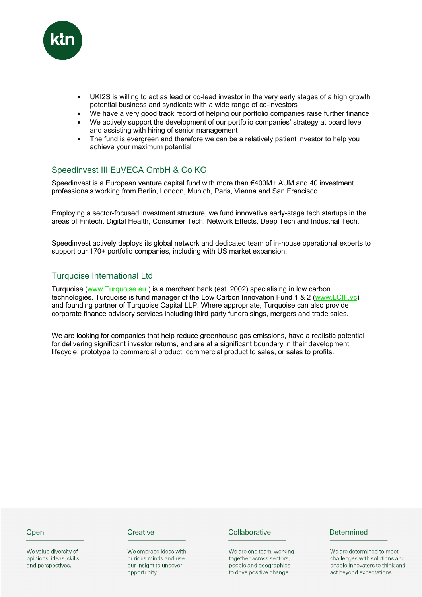

- UKI2S is willing to act as lead or co-lead investor in the very early stages of a high growth potential business and syndicate with a wide range of co-investors
- We have a very good track record of helping our portfolio companies raise further finance
- We actively support the development of our portfolio companies' strategy at board level and assisting with hiring of senior management
- The fund is evergreen and therefore we can be a relatively patient investor to help you achieve your maximum potential

# Speedinvest III EuVECA GmbH & Co KG

Speedinvest is a European venture capital fund with more than €400M+ AUM and 40 investment professionals working from Berlin, London, Munich, Paris, Vienna and San Francisco.

Employing a sector-focused investment structure, we fund innovative early-stage tech startups in the areas of Fintech, Digital Health, Consumer Tech, Network Effects, Deep Tech and Industrial Tech.

Speedinvest actively deploys its global network and dedicated team of in-house operational experts to support our 170+ portfolio companies, including with US market expansion.

# Turquoise International Ltd

Turquoise (www.Turquoise.eu ) is a merchant bank (est. 2002) specialising in low carbon technologies. Turquoise is fund manager of the Low Carbon Innovation Fund 1 & 2 (www.LCIF.vc) and founding partner of Turquoise Capital LLP. Where appropriate, Turquoise can also provide corporate finance advisory services including third party fundraisings, mergers and trade sales.

We are looking for companies that help reduce greenhouse gas emissions, have a realistic potential for delivering significant investor returns, and are at a significant boundary in their development lifecycle: prototype to commercial product, commercial product to sales, or sales to profits.

#### Open

We value diversity of opinions, ideas, skills and perspectives.

#### Creative

We embrace ideas with curious minds and use our insight to uncover opportunity.

#### Collaborative

We are one team, working together across sectors, people and geographies to drive positive change.

#### Determined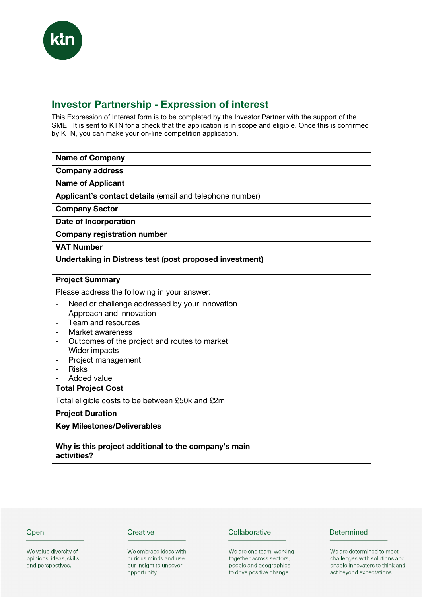# **Investor Partnership - Expression of interest**

This Expression of Interest form is to be completed by the Investor Partner with the support of the SME. It is sent to KTN for a check that the application is in scope and eligible. Once this is confirmed by KTN, you can make your on-line competition application.

| <b>Name of Company</b>                                                                                                                                                                                                                    |  |
|-------------------------------------------------------------------------------------------------------------------------------------------------------------------------------------------------------------------------------------------|--|
| <b>Company address</b>                                                                                                                                                                                                                    |  |
| <b>Name of Applicant</b>                                                                                                                                                                                                                  |  |
| Applicant's contact details (email and telephone number)                                                                                                                                                                                  |  |
| <b>Company Sector</b>                                                                                                                                                                                                                     |  |
| <b>Date of Incorporation</b>                                                                                                                                                                                                              |  |
| <b>Company registration number</b>                                                                                                                                                                                                        |  |
| <b>VAT Number</b>                                                                                                                                                                                                                         |  |
| Undertaking in Distress test (post proposed investment)                                                                                                                                                                                   |  |
| <b>Project Summary</b>                                                                                                                                                                                                                    |  |
| Please address the following in your answer:                                                                                                                                                                                              |  |
| Need or challenge addressed by your innovation<br>Approach and innovation<br>Team and resources<br>Market awareness<br>Outcomes of the project and routes to market<br>Wider impacts<br>Project management<br><b>Risks</b><br>Added value |  |
| <b>Total Project Cost</b>                                                                                                                                                                                                                 |  |
| Total eligible costs to be between £50k and £2m                                                                                                                                                                                           |  |
| <b>Project Duration</b>                                                                                                                                                                                                                   |  |
| <b>Key Milestones/Deliverables</b>                                                                                                                                                                                                        |  |
| Why is this project additional to the company's main<br>activities?                                                                                                                                                                       |  |

# Open

We value diversity of opinions, ideas, skills and perspectives.

# Creative

We embrace ideas with curious minds and use our insight to uncover opportunity.

#### Collaborative

We are one team, working together across sectors, people and geographies to drive positive change.

# Determined